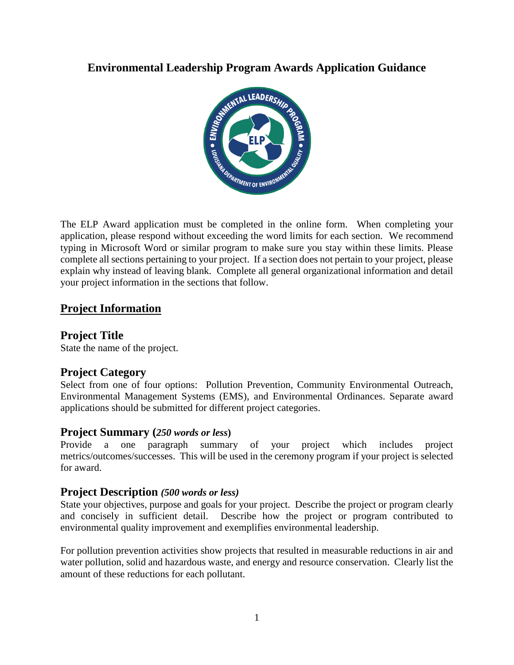

The ELP Award application must be completed in the online form. When completing your application, please respond without exceeding the word limits for each section. We recommend typing in Microsoft Word or similar program to make sure you stay within these limits. Please complete all sections pertaining to your project. If a section does not pertain to your project, please explain why instead of leaving blank. Complete all general organizational information and detail your project information in the sections that follow.

# **Project Information**

# **Project Title**

State the name of the project.

## **Project Category**

Select from one of four options: Pollution Prevention, Community Environmental Outreach, Environmental Management Systems (EMS), and Environmental Ordinances. Separate award applications should be submitted for different project categories.

## **Project Summary (***250 words or less***)**

Provide a one paragraph summary of your project which includes project metrics/outcomes/successes. This will be used in the ceremony program if your project is selected for award.

## **Project Description** *(500 words or less)*

State your objectives, purpose and goals for your project. Describe the project or program clearly and concisely in sufficient detail. Describe how the project or program contributed to environmental quality improvement and exemplifies environmental leadership.

For pollution prevention activities show projects that resulted in measurable reductions in air and water pollution, solid and hazardous waste, and energy and resource conservation. Clearly list the amount of these reductions for each pollutant.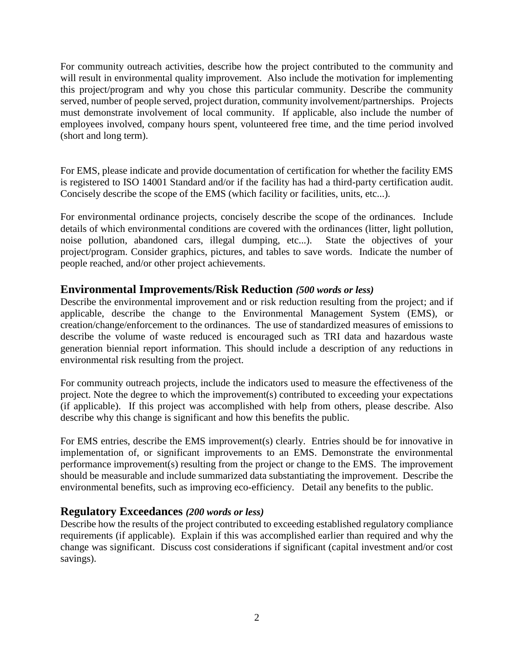For community outreach activities, describe how the project contributed to the community and will result in environmental quality improvement. Also include the motivation for implementing this project/program and why you chose this particular community. Describe the community served, number of people served, project duration, community involvement/partnerships. Projects must demonstrate involvement of local community. If applicable, also include the number of employees involved, company hours spent, volunteered free time, and the time period involved (short and long term).

For EMS, please indicate and provide documentation of certification for whether the facility EMS is registered to ISO 14001 Standard and/or if the facility has had a third-party certification audit. Concisely describe the scope of the EMS (which facility or facilities, units, etc...).

For environmental ordinance projects, concisely describe the scope of the ordinances. Include details of which environmental conditions are covered with the ordinances (litter, light pollution, noise pollution, abandoned cars, illegal dumping, etc...). State the objectives of your project/program. Consider graphics, pictures, and tables to save words. Indicate the number of people reached, and/or other project achievements.

## **Environmental Improvements/Risk Reduction** *(500 words or less)*

Describe the environmental improvement and or risk reduction resulting from the project; and if applicable, describe the change to the Environmental Management System (EMS), or creation/change/enforcement to the ordinances. The use of standardized measures of emissions to describe the volume of waste reduced is encouraged such as TRI data and hazardous waste generation biennial report information. This should include a description of any reductions in environmental risk resulting from the project.

For community outreach projects, include the indicators used to measure the effectiveness of the project. Note the degree to which the improvement(s) contributed to exceeding your expectations (if applicable). If this project was accomplished with help from others, please describe. Also describe why this change is significant and how this benefits the public.

For EMS entries, describe the EMS improvement(s) clearly. Entries should be for innovative in implementation of, or significant improvements to an EMS. Demonstrate the environmental performance improvement(s) resulting from the project or change to the EMS. The improvement should be measurable and include summarized data substantiating the improvement. Describe the environmental benefits, such as improving eco-efficiency. Detail any benefits to the public.

## **Regulatory Exceedances** *(200 words or less)*

Describe how the results of the project contributed to exceeding established regulatory compliance requirements (if applicable). Explain if this was accomplished earlier than required and why the change was significant. Discuss cost considerations if significant (capital investment and/or cost savings).